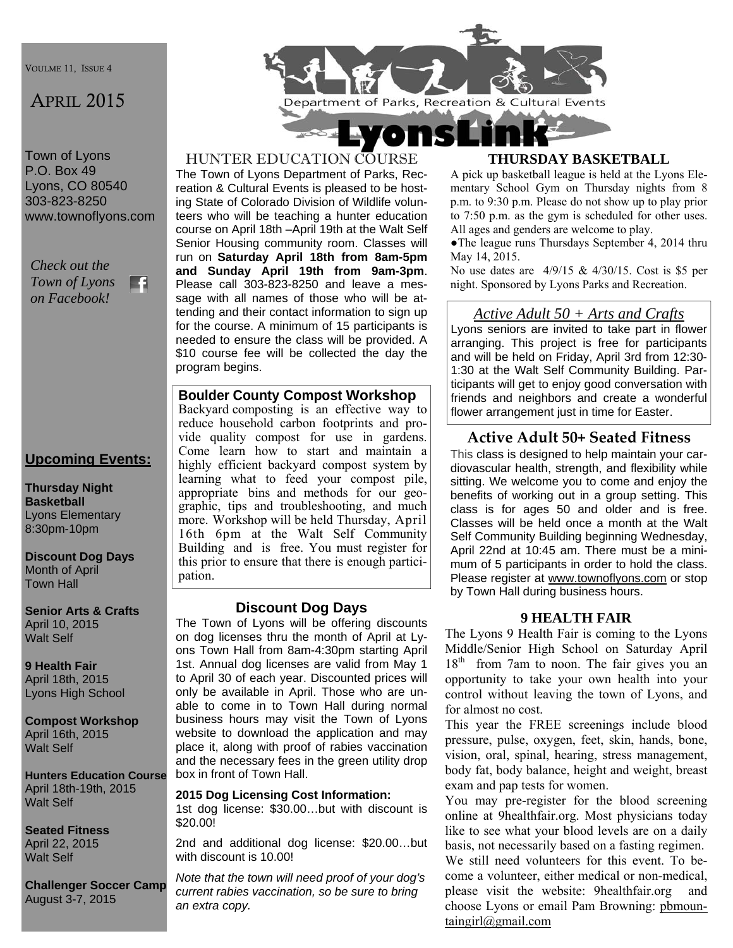VOULME 11, ISSUE 4

# APRIL 2015

Town of Lyons P.O. Box 49 Lyons, CO 80540 303-823-8250 www.townoflyons.com

*Check out the Town of Lyons*  m *on Facebook!* 

## **Upcoming Events:**

**Thursday Night Basketball**  Lyons Elementary 8:30pm-10pm

**Discount Dog Days**  Month of April Town Hall

**Senior Arts & Crafts**  April 10, 2015 Walt Self

**9 Health Fair**  April 18th, 2015 Lyons High School

**Compost Workshop**  April 16th, 2015 Walt Self

**Hunters Education Course**  April 18th-19th, 2015 Walt Self

**Seated Fitness**  April 22, 2015 Walt Self

**Challenger Soccer Camp**  August 3-7, 2015



#### HUNTER EDUCATION COURSE

The Town of Lyons Department of Parks, Recreation & Cultural Events is pleased to be hosting State of Colorado Division of Wildlife volunteers who will be teaching a hunter education course on April 18th –April 19th at the Walt Self Senior Housing community room. Classes will run on **Saturday April 18th from 8am-5pm and Sunday April 19th from 9am-3pm**. Please call 303-823-8250 and leave a message with all names of those who will be attending and their contact information to sign up for the course. A minimum of 15 participants is needed to ensure the class will be provided. A \$10 course fee will be collected the day the program begins.

**Boulder County Compost Workshop**  Backyard composting is an effective way to reduce household carbon footprints and provide quality compost for use in gardens. Come learn how to start and maintain a highly efficient backyard compost system by learning what to feed your compost pile, appropriate bins and methods for our geographic, tips and troubleshooting, and much

more. Workshop will be held Thursday, April 16th 6pm at the Walt Self Community Building and is free. You must register for this prior to ensure that there is enough participation.

### **Discount Dog Days**

The Town of Lyons will be offering discounts on dog licenses thru the month of April at Lyons Town Hall from 8am-4:30pm starting April 1st. Annual dog licenses are valid from May 1 to April 30 of each year. Discounted prices will only be available in April. Those who are unable to come in to Town Hall during normal business hours may visit the Town of Lyons website to download the application and may place it, along with proof of rabies vaccination and the necessary fees in the green utility drop box in front of Town Hall.

#### **2015 Dog Licensing Cost Information:**

1st dog license: \$30.00…but with discount is \$20.00!

2nd and additional dog license: \$20.00…but with discount is 10.00!

*Note that the town will need proof of your dog's current rabies vaccination, so be sure to bring an extra copy.*

#### **THURSDAY BASKETBALL**

A pick up basketball league is held at the Lyons Elementary School Gym on Thursday nights from 8 p.m. to 9:30 p.m. Please do not show up to play prior to 7:50 p.m. as the gym is scheduled for other uses. All ages and genders are welcome to play.

●The league runs Thursdays September 4, 2014 thru May 14, 2015.

No use dates are 4/9/15 & 4/30/15. Cost is \$5 per night. Sponsored by Lyons Parks and Recreation.

#### *Active Adult 50 + Arts and Crafts*

Lyons seniors are invited to take part in flower arranging. This project is free for participants and will be held on Friday, April 3rd from 12:30- 1:30 at the Walt Self Community Building. Participants will get to enjoy good conversation with friends and neighbors and create a wonderful flower arrangement just in time for Easter.

### **Active Adult 50+ Seated Fitness**

This class is designed to help maintain your cardiovascular health, strength, and flexibility while sitting. We welcome you to come and enjoy the benefits of working out in a group setting. This class is for ages 50 and older and is free. Classes will be held once a month at the Walt Self Community Building beginning Wednesday, April 22nd at 10:45 am. There must be a minimum of 5 participants in order to hold the class. Please register at www.townoflyons.com or stop by Town Hall during business hours.

#### **9 HEALTH FAIR**

The Lyons 9 Health Fair is coming to the Lyons Middle/Senior High School on Saturday April 18<sup>th</sup> from 7am to noon. The fair gives you an opportunity to take your own health into your control without leaving the town of Lyons, and for almost no cost.

This year the FREE screenings include blood pressure, pulse, oxygen, feet, skin, hands, bone, vision, oral, spinal, hearing, stress management, body fat, body balance, height and weight, breast exam and pap tests for women.

You may pre-register for the blood screening online at 9healthfair.org. Most physicians today like to see what your blood levels are on a daily basis, not necessarily based on a fasting regimen. We still need volunteers for this event. To become a volunteer, either medical or non-medical, please visit the website: 9healthfair.org and choose Lyons or email Pam Browning: pbmountaingirl@gmail.com